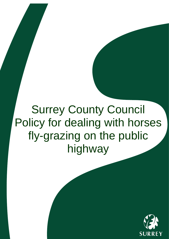# **Surrey County Council** Policy for dealing with horses fly-grazing on the public highway

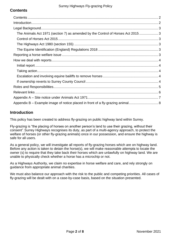# <span id="page-1-0"></span>**Contents**

| The Animals Act 1971 (section 7) as amended by the Control of Horses Act 20153 |  |  |
|--------------------------------------------------------------------------------|--|--|
|                                                                                |  |  |
|                                                                                |  |  |
|                                                                                |  |  |
|                                                                                |  |  |
|                                                                                |  |  |
|                                                                                |  |  |
|                                                                                |  |  |
|                                                                                |  |  |
|                                                                                |  |  |
|                                                                                |  |  |
|                                                                                |  |  |
|                                                                                |  |  |
|                                                                                |  |  |

# <span id="page-1-1"></span>**Introduction**

This policy has been created to address fly-grazing on public highway land within Surrey.

Fly-grazing is "the placing of horses on another person's land to use their grazing, without their consent". Surrey Highways recognises its duty, as part of a multi-agency approach, to protect the welfare of horses (or other fly-grazing animals) once in our possession, and ensure the highway is safe for all users.

As a general policy, we will investigate all reports of fly-grazing horses which are on highway land. Before any action is taken to detain the horse(s), we will make reasonable attempts to locate the owner (s) to require that they take back their horses which are unlawfully on highway land. We are unable to physically check whether a horse has a microchip or not.

As a Highways Authority, we claim no expertise in horse welfare and care, and rely strongly on guidance from appropriate animal charities.

We must also balance our approach with the risk to the public and competing priorities. All cases of fly-grazing will be dealt with on a case-by-case basis, based on the situation presented.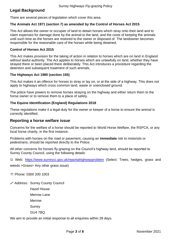# <span id="page-2-0"></span>**Legal Background**

There are several pieces of legislation which cover this area.

## <span id="page-2-1"></span>**The Animals Act 1971 (section 7) as amended by the Control of Horses Act 2015**

This Act allows the owner or occupier of land to detain horses which stray onto their land and to claim expenses for damage done by the animal to the land, and the costs of keeping the animals until such time as the horses are restored to the owner or disposed of. The landowner becomes responsible for the reasonable care of the horses while being detained.

## <span id="page-2-2"></span>**Control of Horses Act 2015**

This Act makes provision for the taking of action in relation to horses which are on land in England without lawful authority. The Act applies to horses which are unlawfully on land, whether they have strayed there or been placed there deliberately. This Act introduces a procedure regarding the detention and subsequent treatment of such animals.

# <span id="page-2-3"></span>**The Highways Act 1980 (section 155)**

This Act makes it an offence for horses to stray or lay on, or at the side of a highway. This does not apply to highways which cross common land, waste or unenclosed ground.

The police have powers to remove horses straying on the highway and either return them to the horse owner or to remove them to a place of safety.

# <span id="page-2-4"></span>**The Equine Identification (England) Regulations 2018**

These regulations make it a legal duty for the owner or keeper of a horse to ensure the animal is correctly identified.

# <span id="page-2-5"></span>**Reporting a horse welfare issue**

Concerns for the welfare of a horse should be reported to World Horse Welfare, the RSPCA, or any local horse charity, in the first instance.

Problems with horses on the road or pavement, causing an **immediate** risk to motorists or pedestrians, should be reported directly to the Police.

All other concerns for horses fly-grazing on the Council's highway land, should be reported to Surrey County Council, using the following details:

■ Web: <https://www.surreycc.gov.uk/reportahighwayproblem> (Select: Trees, hedges, grass and

weeds >Grass> Any other grass issue)

**Phone: 0300 200 1003** 

Address: Surrey County Council

Hazel House

Merrow Lane

Merrow

**Surrey** 

GU4 7BQ

We aim to provide an initial response to all enquiries within 28 days.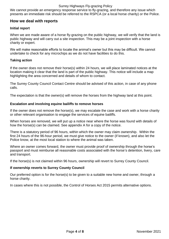#### Surrey Highways Fly-grazing Policy

We cannot provide an emergency response service to fly-grazing, and therefore any issue which presents an immediate risk should be referred to the RSPCA (or a local horse charity) or the Police.

# <span id="page-3-0"></span>**How we deal with reports**

### <span id="page-3-1"></span>**Initial report**

When we are made aware of a horse fly-grazing on the public highway, we will verify that the land is public highway and will carry out a site inspection. This may be a joint inspection with a horse charity or expert.

We will make reasonable efforts to locate the animal's owner but this may be difficult. We cannot undertake to check for any microchips as we do not have facilities to do this.

#### <span id="page-3-2"></span>**Taking action**

If the owner does not remove their horse(s) within 24 hours, we will place laminated notices at the location making it clear that the land is part of the public highway. This notice will include a map highlighting the area concerned and details of whom to contact.

The Surrey County Council Contact Centre should be advised of this action, in case of any phone calls.

The expectation is that the owner(s) will remove the horses from the highway land at this point.

#### <span id="page-3-3"></span>**Escalation and involving equine bailiffs to remove horses**

If the owner does not remove the horse(s), we may escalate the case and work with a horse charity or other relevant organisation to engage the services of equine bailiffs.

When horses are removed, we will put up a notice near where the horse was found with details of how the horse(s) can be claimed. See appendix A for a copy of the notice.

There is a statutory period of 96 hours, within which the owner may claim ownership. Within the first 24 hours of the 96-hour period, we must give notice to the owner (if known), and also let the Police know, at the most local station to where the animal was taken.

Where an owner comes forward, the owner must provide proof of ownership through the horse's passport and must reimburse all reasonable costs associated with the horse's detention, livery, care and transport.

If the horse(s) is not claimed within 96 hours, ownership will revert to Surrey County Council.

#### <span id="page-3-4"></span>**If ownership reverts to Surrey County Council**

Our preferred option is for the horse(s) to be given to a suitable new home and owner, through a horse charity.

In cases where this is not possible, the Control of Horses Act 2015 permits alternative options.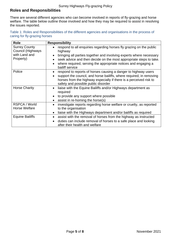# <span id="page-4-0"></span>**Roles and Responsibilities**

There are several different agencies who can become involved in reports of fly-grazing and horse welfare. The table below outline those involved and how they may be required to assist in resolving the issues reported.

| Table 1: Roles and Responsibilities of the different agencies and organisations in the process of |  |
|---------------------------------------------------------------------------------------------------|--|
| caring for fly-grazing horses                                                                     |  |

| <b>Role</b>                                                             | <b>Responsibility</b>                                                                                                                                                                                                                               |
|-------------------------------------------------------------------------|-----------------------------------------------------------------------------------------------------------------------------------------------------------------------------------------------------------------------------------------------------|
| <b>Surrey County</b><br>Council (Highways<br>with Land and<br>Property) | respond to all enquiries regarding horses fly grazing on the public<br>highway<br>bringing all parties together and involving experts where necessary<br>$\bullet$<br>seek advice and then decide on the most appropriate steps to take.            |
|                                                                         | where required, serving the appropriate notices and engaging a<br>bailiff service                                                                                                                                                                   |
| Police                                                                  | respond to reports of horses causing a danger to highway users<br>support the council, and horse bailiffs, where required, in removing<br>horses from the highway especially if there is a perceived risk to<br>safety and possible public disorder |
| <b>Horse Charity</b>                                                    | liaise with the Equine Bailiffs and/or Highways department as<br>required<br>to provide any support where possible<br>assist in re-homing the horse(s)                                                                                              |
| RSPCA / World<br><b>Horse Welfare</b>                                   | investigate reports regarding horse welfare or cruelty, as reported<br>to the organisation<br>liaise with the Highways department and/or bailiffs as required<br>$\bullet$                                                                          |
| <b>Equine Bailiffs</b>                                                  | assist with the removal of horses from the highway as instructed<br>duties can include removal of horses to a safe place and looking<br>after their health and welfare                                                                              |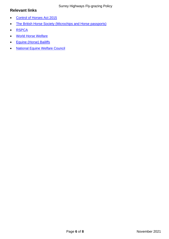# <span id="page-5-0"></span>**Relevant links**

- [Control of Horses Act 2015](http://www.legislation.gov.uk/ukpga/2015/23/contents/enacted)
- [The British Horse Society \(Microchips and Horse passports\)](https://www.bhs.org.uk/advice-and-information/horse-ownership/horse-passports/faqs)
- [RSPCA](https://www.rspca.org.uk/adviceandwelfare/pets/horses/health/tethering)
- [World Horse Welfare](https://www.worldhorsewelfare.org/)
- [Equine \(Horse\) Bailiffs](http://www.thehorsebailiffs.co.uk/)
- [National Equine Welfare Council](http://www.newc.co.uk/members/)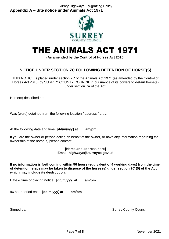<span id="page-6-0"></span>Surrey Highways Fly-grazing Policy **Appendix A – Site notice under Animals Act 1971**



# THE ANIMALS ACT 1971

**(As amended by the Control of Horses Act 2015)**

# **NOTICE UNDER SECTION 7C FOLLOWING DETENTION OF HORSE(S)**

THIS NOTICE is placed under section 7C of the Animals Act 1971 (as amended by the Control of Horses Act 2015) by SURREY COUNTY COUNCIL in pursuance of its powers to **detain** horse(s) under section 7A of the Act.

Horse(s) described as:

Was (were) detained from the following location / address / area:

At the following date and time**: [dd/m/yyy] at am/pm**

If you are the owner or person acting on behalf of the owner, or have any information regarding the ownership of the horse(s) please contact:

#### **[Name and address here] Email: highways@surreycc.gov.uk**

**If no information is forthcoming within 96 hours (equivalent of 4 working days) from the time of detention, steps may be taken to dispose of the horse (s) under section 7C (5) of the Act, which may include its destruction.** 

Date & time of placing notice: **[dd/m/yyy] at am/pm**

96 hour period ends: **[dd/m/yyy] at am/pm**

Signed by: Signed by: Surrey County Council